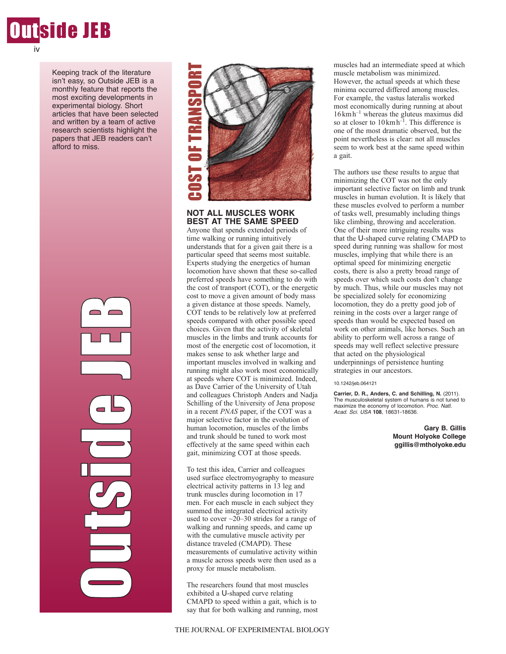

Keeping track of the literature isn't easy, so Outside JEB is a monthly feature that reports the most exciting developments in experimental biology. Short articles that have been selected and written by a team of active research scientists highlight the papers that JEB readers can't afford to miss.





## **NOT ALL MUSCLES WORK BEST AT THE SAME SPEED**

Anyone that spends extended periods of time walking or running intuitively understands that for a given gait there is a particular speed that seems most suitable. Experts studying the energetics of human locomotion have shown that these so-called preferred speeds have something to do with the cost of transport (COT), or the energetic cost to move a given amount of body mass a given distance at those speeds. Namely, COT tends to be relatively low at preferred speeds compared with other possible speed choices. Given that the activity of skeletal muscles in the limbs and trunk accounts for most of the energetic cost of locomotion, it makes sense to ask whether large and important muscles involved in walking and running might also work most economically at speeds where COT is minimized. Indeed, as Dave Carrier of the University of Utah and colleagues Christoph Anders and Nadja Schilling of the University of Jena propose in a recent *PNAS* paper, if the COT was a major selective factor in the evolution of human locomotion, muscles of the limbs and trunk should be tuned to work most effectively at the same speed within each gait, minimizing COT at those speeds. **SCREED TO THE SAME SCREED SCREED SERVICES**<br>
NOT ALL MUSCLES WORK NORK AND TRIME SAME SPECT AT THE SAME SPECT AND tunnear invirting or uniformizating and running instituted and screene that seems to the cost of the spectra

To test this idea, Carrier and colleagues used surface electromyography to measure electrical activity patterns in 13 leg and trunk muscles during locomotion in 17 men. For each muscle in each subject they summed the integrated electrical activity used to cover ~20–30 strides for a range of walking and running speeds, and came up with the cumulative muscle activity per distance traveled (CMAPD). These measurements of cumulative activity within a muscle across speeds were then used as a proxy for muscle metabolism.

The researchers found that most muscles exhibited a U-shaped curve relating CMAPD to speed within a gait, which is to muscles had an intermediate speed at which muscle metabolism was minimized. However, the actual speeds at which these minima occurred differed among muscles. For example, the vastus lateralis worked most economically during running at about  $16 \text{ km h}^{-1}$  whereas the gluteus maximus did so at closer to  $10 \text{ km h}^{-1}$ . This difference is one of the most dramatic observed, but the point nevertheless is clear: not all muscles seem to work best at the same speed within a gait.

The authors use these results to argue that minimizing the COT was not the only important selective factor on limb and trunk muscles in human evolution. It is likely that these muscles evolved to perform a number of tasks well, presumably including things like climbing, throwing and acceleration. One of their more intriguing results was that the U-shaped curve relating CMAPD to speed during running was shallow for most muscles, implying that while there is an optimal speed for minimizing energetic costs, there is also a pretty broad range of speeds over which such costs don't change by much. Thus, while our muscles may not be specialized solely for economizing locomotion, they do a pretty good job of reining in the costs over a larger range of speeds than would be expected based on work on other animals, like horses. Such an ability to perform well across a range of speeds may well reflect selective pressure that acted on the physiological underpinnings of persistence hunting strategies in our ancestors.

### 10.1242/jeb.064121

**Carrier, D. R., Anders, C. and Schilling, N.** (2011). The musculoskeletal system of humans is not tuned to maximize the economy of locomotion. *Proc. Natl. Acad. Sci. USA* **108**, 18631-18636.

> **Gary B. Gillis Mount Holyoke College ggillis@mtholyoke.edu**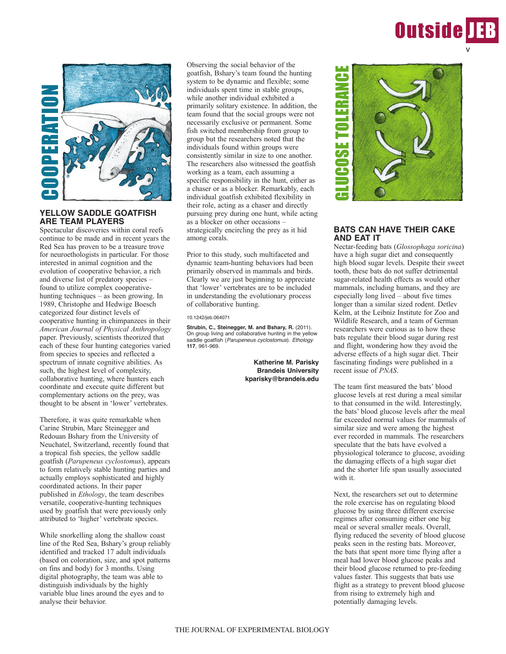



# **YELLOW SADDLE GOATFISH ARE TEAM PLAYERS**

Spectacular discoveries within coral reefs continue to be made and in recent years the Red Sea has proven to be a treasure trove for neuroethologists in particular. For those interested in animal cognition and the evolution of cooperative behavior, a rich and diverse list of predatory species – found to utilize complex cooperativehunting techniques – as been growing. In 1989, Christophe and Hedwige Boesch categorized four distinct levels of cooperative hunting in chimpanzees in their *American Journal of Physical Anthropology* paper. Previously, scientists theorized that each of these four hunting categories varied from species to species and reflected a spectrum of innate cognitive abilities. As such, the highest level of complexity, collaborative hunting, where hunters each coordinate and execute quite different but complementary actions on the prey, was thought to be absent in 'lower' vertebrates.

Therefore, it was quite remarkable when Carine Strubin, Marc Steinegger and Redouan Bshary from the University of Neuchatel, Switzerland, recently found that a tropical fish species, the yellow saddle goatfish (*Parupeneus cyclostomus*), appears to form relatively stable hunting parties and actually employs sophisticated and highly coordinated actions. In their paper published in *Ethology*, the team describes versatile, cooperative-hunting techniques used by goatfish that were previously only attributed to 'higher' vertebrate species.

While snorkelling along the shallow coast line of the Red Sea, Bshary's group reliably identified and tracked 17 adult individuals (based on coloration, size, and spot patterns on fins and body) for 3 months. Using digital photography, the team was able to distinguish individuals by the highly variable blue lines around the eyes and to analyse their behavior.

Observing the social behavior of the goatfish, Bshary's team found the hunting system to be dynamic and flexible; some individuals spent time in stable groups, while another individual exhibited a primarily solitary existence. In addition, the team found that the social groups were not necessarily exclusive or permanent. Some fish switched membership from group to group but the researchers noted that the individuals found within groups were consistently similar in size to one another. The researchers also witnessed the goatfish working as a team, each assuming a specific responsibility in the hunt, either as a chaser or as a blocker. Remarkably, each individual goatfish exhibited flexibility in their role, acting as a chaser and directly pursuing prey during one hunt, while acting as a blocker on other occasions – strategically encircling the prey as it hid among corals.

Prior to this study, such multifaceted and dynamic team-hunting behaviors had been primarily observed in mammals and birds. Clearly we are just beginning to appreciate that 'lower' vertebrates are to be included in understanding the evolutionary process of collaborative hunting.

10.1242/jeb.064071

**Strubin, C., Steinegger, M. and Bshary, R.** (2011). On group living and collaborative hunting in the yellow saddle goatfish (*Parupeneus cyclostomus*). *Ethology* **117**, 961-969.

> **Katherine M. Parisky Brandeis University kparisky@brandeis.edu**



# **BATS CAN HAVE THEIR CAKE AND EAT IT**

Nectar-feeding bats (*Glossophaga soricina*) have a high sugar diet and consequently high blood sugar levels. Despite their sweet tooth, these bats do not suffer detrimental sugar-related health effects as would other mammals, including humans, and they are especially long lived – about five times longer than a similar sized rodent. Detlev Kelm, at the Leibniz Institute for Zoo and Wildlife Research, and a team of German researchers were curious as to how these bats regulate their blood sugar during rest and flight, wondering how they avoid the adverse effects of a high sugar diet. Their fascinating findings were published in a recent issue of *PNAS*.

The team first measured the bats' blood glucose levels at rest during a meal similar to that consumed in the wild. Interestingly, the bats' blood glucose levels after the meal far exceeded normal values for mammals of similar size and were among the highest ever recorded in mammals. The researchers speculate that the bats have evolved a physiological tolerance to glucose, avoiding the damaging effects of a high sugar diet and the shorter life span usually associated with it.

Next, the researchers set out to determine the role exercise has on regulating blood glucose by using three different exercise regimes after consuming either one big meal or several smaller meals. Overall, flying reduced the severity of blood glucose peaks seen in the resting bats. Moreover, the bats that spent more time flying after a meal had lower blood glucose peaks and their blood glucose returned to pre-feeding values faster. This suggests that bats use flight as a strategy to prevent blood glucose from rising to extremely high and potentially damaging levels.